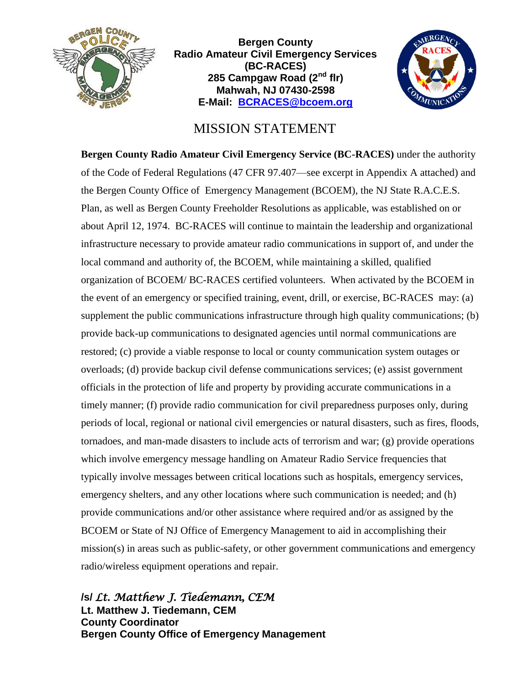

**Bergen County Radio Amateur Civil Emergency Services (BC-RACES) 285 Campgaw Road (2nd flr) Mahwah, NJ 07430-2598 E-Mail: [BCRACES@bcoem.org](mailto:BCRACES@bcoem.org)**



## MISSION STATEMENT

**Bergen County Radio Amateur Civil Emergency Service (BC-RACES)** under the authority of the Code of Federal Regulations (47 CFR 97.407—see excerpt in Appendix A attached) and the Bergen County Office of Emergency Management (BCOEM), the NJ State R.A.C.E.S. Plan, as well as Bergen County Freeholder Resolutions as applicable, was established on or about April 12, 1974. BC-RACES will continue to maintain the leadership and organizational infrastructure necessary to provide amateur radio communications in support of, and under the local command and authority of, the BCOEM, while maintaining a skilled, qualified organization of BCOEM/ BC-RACES certified volunteers. When activated by the BCOEM in the event of an emergency or specified training, event, drill, or exercise, BC-RACES may: (a) supplement the public communications infrastructure through high quality communications; (b) provide back-up communications to designated agencies until normal communications are restored; (c) provide a viable response to local or county communication system outages or overloads; (d) provide backup civil defense communications services; (e) assist government officials in the protection of life and property by providing accurate communications in a timely manner; (f) provide radio communication for civil preparedness purposes only, during periods of local, regional or national civil emergencies or natural disasters, such as fires, floods, tornadoes, and man-made disasters to include acts of terrorism and war; (g) provide operations which involve emergency message handling on Amateur Radio Service frequencies that typically involve messages between critical locations such as hospitals, emergency services, emergency shelters, and any other locations where such communication is needed; and (h) provide communications and/or other assistance where required and/or as assigned by the BCOEM or State of NJ Office of Emergency Management to aid in accomplishing their mission(s) in areas such as public-safety, or other government communications and emergency radio/wireless equipment operations and repair.

**/s/** *Lt. Matthew J. Tiedemann, CEM* **Lt. Matthew J. Tiedemann, CEM County Coordinator Bergen County Office of Emergency Management**